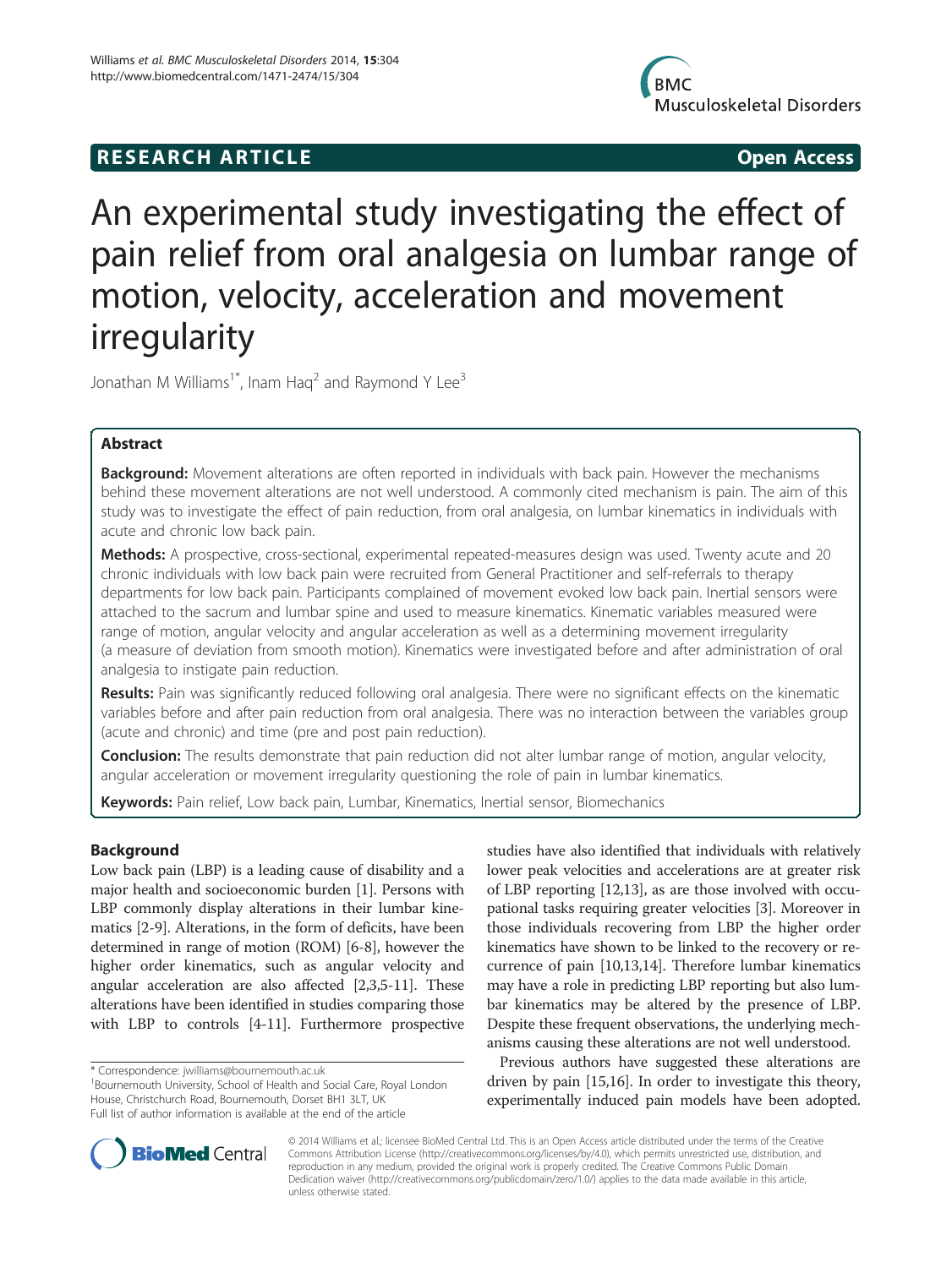# R E S EAR CH A R TIC L E Open Access



# An experimental study investigating the effect of pain relief from oral analgesia on lumbar range of motion, velocity, acceleration and movement irregularity

Jonathan M Williams<sup>1\*</sup>, Inam Hag<sup>2</sup> and Raymond Y Lee<sup>3</sup>

# Abstract

Background: Movement alterations are often reported in individuals with back pain. However the mechanisms behind these movement alterations are not well understood. A commonly cited mechanism is pain. The aim of this study was to investigate the effect of pain reduction, from oral analgesia, on lumbar kinematics in individuals with acute and chronic low back pain.

Methods: A prospective, cross-sectional, experimental repeated-measures design was used. Twenty acute and 20 chronic individuals with low back pain were recruited from General Practitioner and self-referrals to therapy departments for low back pain. Participants complained of movement evoked low back pain. Inertial sensors were attached to the sacrum and lumbar spine and used to measure kinematics. Kinematic variables measured were range of motion, angular velocity and angular acceleration as well as a determining movement irregularity (a measure of deviation from smooth motion). Kinematics were investigated before and after administration of oral analgesia to instigate pain reduction.

Results: Pain was significantly reduced following oral analgesia. There were no significant effects on the kinematic variables before and after pain reduction from oral analgesia. There was no interaction between the variables group (acute and chronic) and time (pre and post pain reduction).

**Conclusion:** The results demonstrate that pain reduction did not alter lumbar range of motion, angular velocity, angular acceleration or movement irregularity questioning the role of pain in lumbar kinematics.

Keywords: Pain relief, Low back pain, Lumbar, Kinematics, Inertial sensor, Biomechanics

# Background

Low back pain (LBP) is a leading cause of disability and a major health and socioeconomic burden [[1\]](#page-7-0). Persons with LBP commonly display alterations in their lumbar kinematics [\[2](#page-7-0)-[9\]](#page-7-0). Alterations, in the form of deficits, have been determined in range of motion (ROM) [[6-8\]](#page-7-0), however the higher order kinematics, such as angular velocity and angular acceleration are also affected [\[2,3,5-11\]](#page-7-0). These alterations have been identified in studies comparing those with LBP to controls [[4-11\]](#page-7-0). Furthermore prospective

<sup>1</sup>Bournemouth University, School of Health and Social Care, Royal London House, Christchurch Road, Bournemouth, Dorset BH1 3LT, UK Full list of author information is available at the end of the article

studies have also identified that individuals with relatively lower peak velocities and accelerations are at greater risk of LBP reporting [[12,13\]](#page-7-0), as are those involved with occupational tasks requiring greater velocities [[3](#page-7-0)]. Moreover in those individuals recovering from LBP the higher order kinematics have shown to be linked to the recovery or recurrence of pain [[10,13,14\]](#page-7-0). Therefore lumbar kinematics may have a role in predicting LBP reporting but also lumbar kinematics may be altered by the presence of LBP. Despite these frequent observations, the underlying mechanisms causing these alterations are not well understood.

Previous authors have suggested these alterations are driven by pain [[15,16\]](#page-8-0). In order to investigate this theory, experimentally induced pain models have been adopted.



© 2014 Williams et al.; licensee BioMed Central Ltd. This is an Open Access article distributed under the terms of the Creative Commons Attribution License [\(http://creativecommons.org/licenses/by/4.0\)](http://creativecommons.org/licenses/by/4.0), which permits unrestricted use, distribution, and reproduction in any medium, provided the original work is properly credited. The Creative Commons Public Domain Dedication waiver [\(http://creativecommons.org/publicdomain/zero/1.0/](http://creativecommons.org/publicdomain/zero/1.0/)) applies to the data made available in this article, unless otherwise stated.

<sup>\*</sup> Correspondence: [jwilliams@bournemouth.ac.uk](mailto:jwilliams@bournemouth.ac.uk) <sup>1</sup>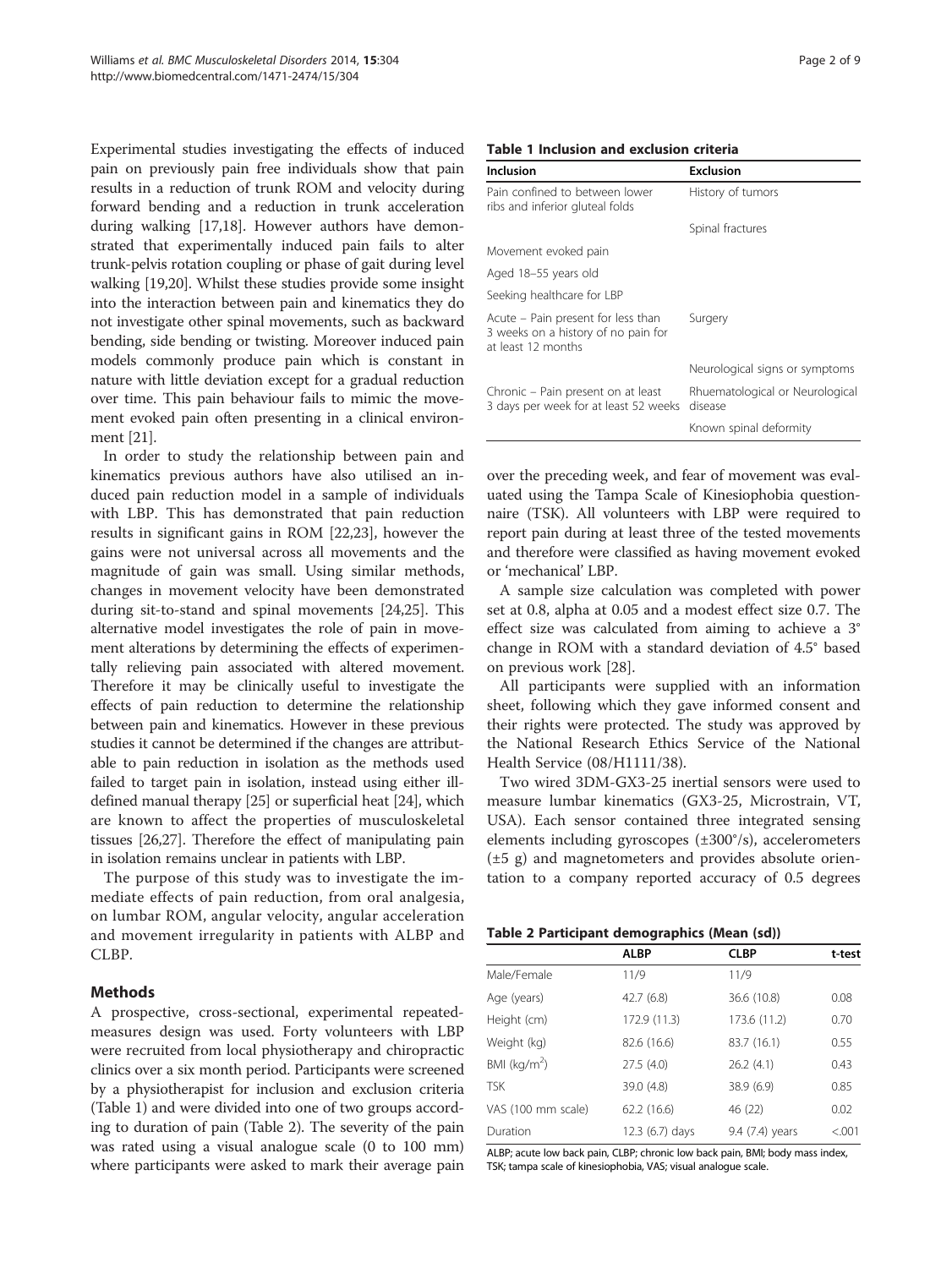Experimental studies investigating the effects of induced pain on previously pain free individuals show that pain results in a reduction of trunk ROM and velocity during forward bending and a reduction in trunk acceleration during walking [\[17,18\]](#page-8-0). However authors have demonstrated that experimentally induced pain fails to alter trunk-pelvis rotation coupling or phase of gait during level walking [\[19,20\]](#page-8-0). Whilst these studies provide some insight into the interaction between pain and kinematics they do not investigate other spinal movements, such as backward bending, side bending or twisting. Moreover induced pain models commonly produce pain which is constant in nature with little deviation except for a gradual reduction over time. This pain behaviour fails to mimic the movement evoked pain often presenting in a clinical environment [\[21\]](#page-8-0).

In order to study the relationship between pain and kinematics previous authors have also utilised an induced pain reduction model in a sample of individuals with LBP. This has demonstrated that pain reduction results in significant gains in ROM [\[22,23\]](#page-8-0), however the gains were not universal across all movements and the magnitude of gain was small. Using similar methods, changes in movement velocity have been demonstrated during sit-to-stand and spinal movements [\[24,25\]](#page-8-0). This alternative model investigates the role of pain in movement alterations by determining the effects of experimentally relieving pain associated with altered movement. Therefore it may be clinically useful to investigate the effects of pain reduction to determine the relationship between pain and kinematics. However in these previous studies it cannot be determined if the changes are attributable to pain reduction in isolation as the methods used failed to target pain in isolation, instead using either illdefined manual therapy [[25](#page-8-0)] or superficial heat [\[24\]](#page-8-0), which are known to affect the properties of musculoskeletal tissues [[26,27](#page-8-0)]. Therefore the effect of manipulating pain in isolation remains unclear in patients with LBP.

The purpose of this study was to investigate the immediate effects of pain reduction, from oral analgesia, on lumbar ROM, angular velocity, angular acceleration and movement irregularity in patients with ALBP and CLBP.

# Methods

A prospective, cross-sectional, experimental repeatedmeasures design was used. Forty volunteers with LBP were recruited from local physiotherapy and chiropractic clinics over a six month period. Participants were screened by a physiotherapist for inclusion and exclusion criteria (Table 1) and were divided into one of two groups according to duration of pain (Table 2). The severity of the pain was rated using a visual analogue scale (0 to 100 mm) where participants were asked to mark their average pain

## Table 1 Inclusion and exclusion criteria

| Inclusion                                                                                       | <b>Exclusion</b>                           |
|-------------------------------------------------------------------------------------------------|--------------------------------------------|
| Pain confined to between lower<br>ribs and inferior gluteal folds                               | History of tumors                          |
|                                                                                                 | Spinal fractures                           |
| Movement evoked pain                                                                            |                                            |
| Aged 18-55 years old                                                                            |                                            |
| Seeking healthcare for LBP                                                                      |                                            |
| Acute - Pain present for less than<br>3 weeks on a history of no pain for<br>at least 12 months | Surgery                                    |
|                                                                                                 | Neurological signs or symptoms             |
| Chronic – Pain present on at least<br>3 days per week for at least 52 weeks                     | Rhuematological or Neurological<br>disease |
|                                                                                                 | Known spinal deformity                     |

over the preceding week, and fear of movement was evaluated using the Tampa Scale of Kinesiophobia questionnaire (TSK). All volunteers with LBP were required to report pain during at least three of the tested movements and therefore were classified as having movement evoked or 'mechanical' LBP.

A sample size calculation was completed with power set at 0.8, alpha at 0.05 and a modest effect size 0.7. The effect size was calculated from aiming to achieve a 3° change in ROM with a standard deviation of 4.5° based on previous work [\[28](#page-8-0)].

All participants were supplied with an information sheet, following which they gave informed consent and their rights were protected. The study was approved by the National Research Ethics Service of the National Health Service (08/H1111/38).

Two wired 3DM-GX3-25 inertial sensors were used to measure lumbar kinematics (GX3-25, Microstrain, VT, USA). Each sensor contained three integrated sensing elements including gyroscopes (±300°/s), accelerometers (±5 g) and magnetometers and provides absolute orientation to a company reported accuracy of 0.5 degrees

|  |  | Table 2 Participant demographics (Mean (sd)) |  |
|--|--|----------------------------------------------|--|
|--|--|----------------------------------------------|--|

|                    | <b>ALBP</b>     | <b>CLBP</b>     | t-test  |
|--------------------|-----------------|-----------------|---------|
| Male/Female        | 11/9            | 11/9            |         |
| Age (years)        | 42.7(6.8)       | 36.6 (10.8)     | 0.08    |
| Height (cm)        | 172.9 (11.3)    | 173.6 (11.2)    | 0.70    |
| Weight (kg)        | 82.6 (16.6)     | 83.7 (16.1)     | 0.55    |
| BMI ( $kg/m2$ )    | 27.5(4.0)       | 26.2(4.1)       | 0.43    |
| <b>TSK</b>         | 39.0 (4.8)      | 38.9 (6.9)      | 0.85    |
| VAS (100 mm scale) | 62.2 (16.6)     | 46 (22)         | 0.02    |
| Duration           | 12.3 (6.7) days | 9.4 (7.4) years | < 0.001 |

ALBP; acute low back pain, CLBP; chronic low back pain, BMI; body mass index, TSK; tampa scale of kinesiophobia, VAS; visual analogue scale.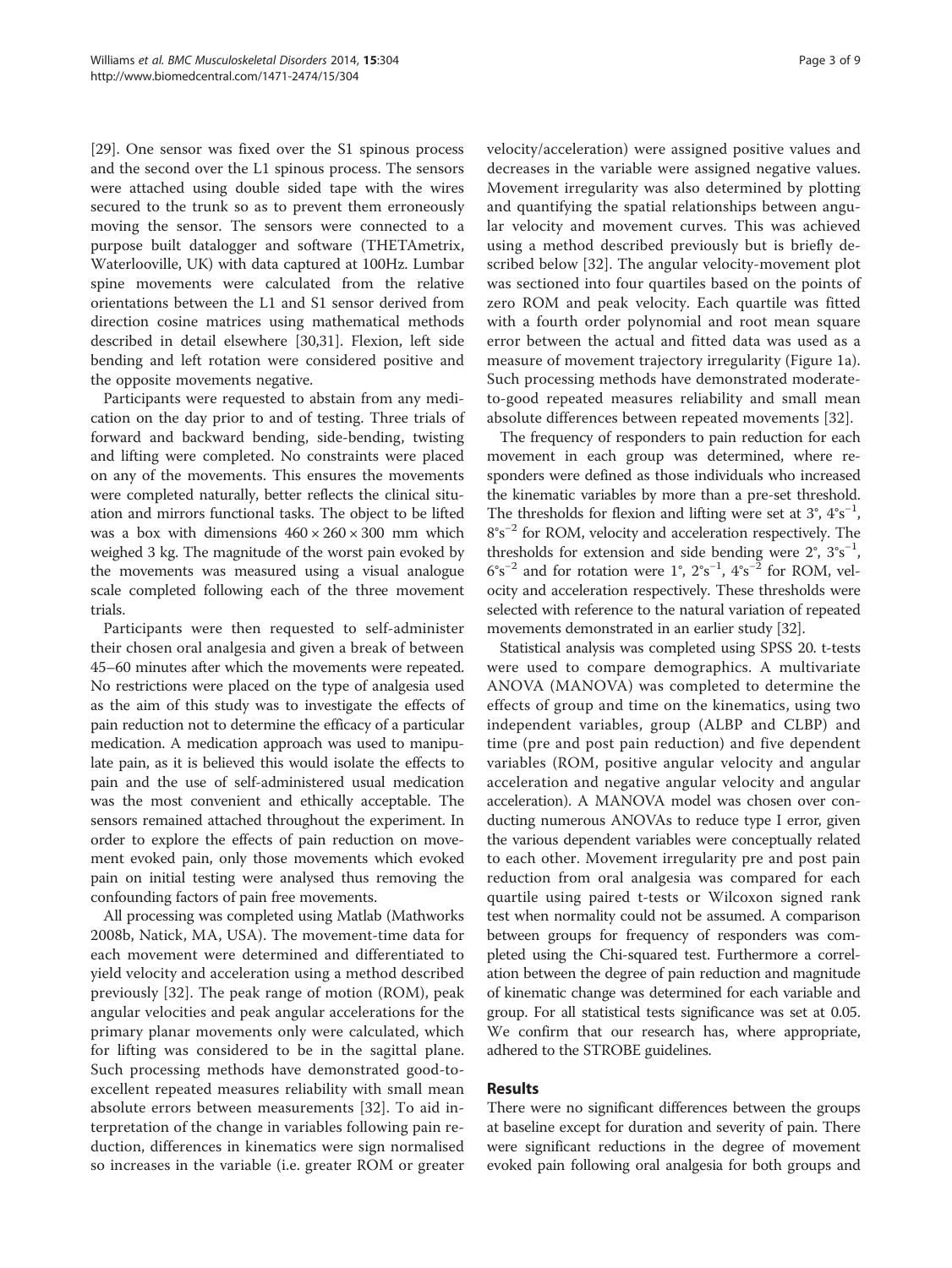[[29\]](#page-8-0). One sensor was fixed over the S1 spinous process and the second over the L1 spinous process. The sensors were attached using double sided tape with the wires secured to the trunk so as to prevent them erroneously moving the sensor. The sensors were connected to a purpose built datalogger and software (THETAmetrix, Waterlooville, UK) with data captured at 100Hz. Lumbar spine movements were calculated from the relative orientations between the L1 and S1 sensor derived from direction cosine matrices using mathematical methods described in detail elsewhere [[30,31\]](#page-8-0). Flexion, left side bending and left rotation were considered positive and the opposite movements negative.

Participants were requested to abstain from any medication on the day prior to and of testing. Three trials of forward and backward bending, side-bending, twisting and lifting were completed. No constraints were placed on any of the movements. This ensures the movements were completed naturally, better reflects the clinical situation and mirrors functional tasks. The object to be lifted was a box with dimensions  $460 \times 260 \times 300$  mm which weighed 3 kg. The magnitude of the worst pain evoked by the movements was measured using a visual analogue scale completed following each of the three movement trials.

Participants were then requested to self-administer their chosen oral analgesia and given a break of between 45–60 minutes after which the movements were repeated. No restrictions were placed on the type of analgesia used as the aim of this study was to investigate the effects of pain reduction not to determine the efficacy of a particular medication. A medication approach was used to manipulate pain, as it is believed this would isolate the effects to pain and the use of self-administered usual medication was the most convenient and ethically acceptable. The sensors remained attached throughout the experiment. In order to explore the effects of pain reduction on movement evoked pain, only those movements which evoked pain on initial testing were analysed thus removing the confounding factors of pain free movements.

All processing was completed using Matlab (Mathworks 2008b, Natick, MA, USA). The movement-time data for each movement were determined and differentiated to yield velocity and acceleration using a method described previously [[32\]](#page-8-0). The peak range of motion (ROM), peak angular velocities and peak angular accelerations for the primary planar movements only were calculated, which for lifting was considered to be in the sagittal plane. Such processing methods have demonstrated good-toexcellent repeated measures reliability with small mean absolute errors between measurements [\[32](#page-8-0)]. To aid interpretation of the change in variables following pain reduction, differences in kinematics were sign normalised so increases in the variable (i.e. greater ROM or greater velocity/acceleration) were assigned positive values and decreases in the variable were assigned negative values. Movement irregularity was also determined by plotting and quantifying the spatial relationships between angular velocity and movement curves. This was achieved using a method described previously but is briefly described below [[32\]](#page-8-0). The angular velocity-movement plot was sectioned into four quartiles based on the points of zero ROM and peak velocity. Each quartile was fitted with a fourth order polynomial and root mean square error between the actual and fitted data was used as a measure of movement trajectory irregularity (Figure [1a](#page-3-0)). Such processing methods have demonstrated moderateto-good repeated measures reliability and small mean absolute differences between repeated movements [[32\]](#page-8-0).

The frequency of responders to pain reduction for each movement in each group was determined, where responders were defined as those individuals who increased the kinematic variables by more than a pre-set threshold. The thresholds for flexion and lifting were set at 3°, 4°s<sup>-1</sup>, 8°s−<sup>2</sup> for ROM, velocity and acceleration respectively. The thresholds for extension and side bending were  $2^{\circ}$ ,  $3^{\circ} s^{-1}$ ,  $6^{\circ} s^{-2}$  and for rotation were 1°,  $2^{\circ} s^{-1}$ ,  $4^{\circ} s^{-2}$  for ROM, velocity and acceleration respectively. These thresholds were selected with reference to the natural variation of repeated movements demonstrated in an earlier study [\[32\]](#page-8-0).

Statistical analysis was completed using SPSS 20. t-tests were used to compare demographics. A multivariate ANOVA (MANOVA) was completed to determine the effects of group and time on the kinematics, using two independent variables, group (ALBP and CLBP) and time (pre and post pain reduction) and five dependent variables (ROM, positive angular velocity and angular acceleration and negative angular velocity and angular acceleration). A MANOVA model was chosen over conducting numerous ANOVAs to reduce type I error, given the various dependent variables were conceptually related to each other. Movement irregularity pre and post pain reduction from oral analgesia was compared for each quartile using paired t-tests or Wilcoxon signed rank test when normality could not be assumed. A comparison between groups for frequency of responders was completed using the Chi-squared test. Furthermore a correlation between the degree of pain reduction and magnitude of kinematic change was determined for each variable and group. For all statistical tests significance was set at 0.05. We confirm that our research has, where appropriate, adhered to the STROBE guidelines.

## Results

There were no significant differences between the groups at baseline except for duration and severity of pain. There were significant reductions in the degree of movement evoked pain following oral analgesia for both groups and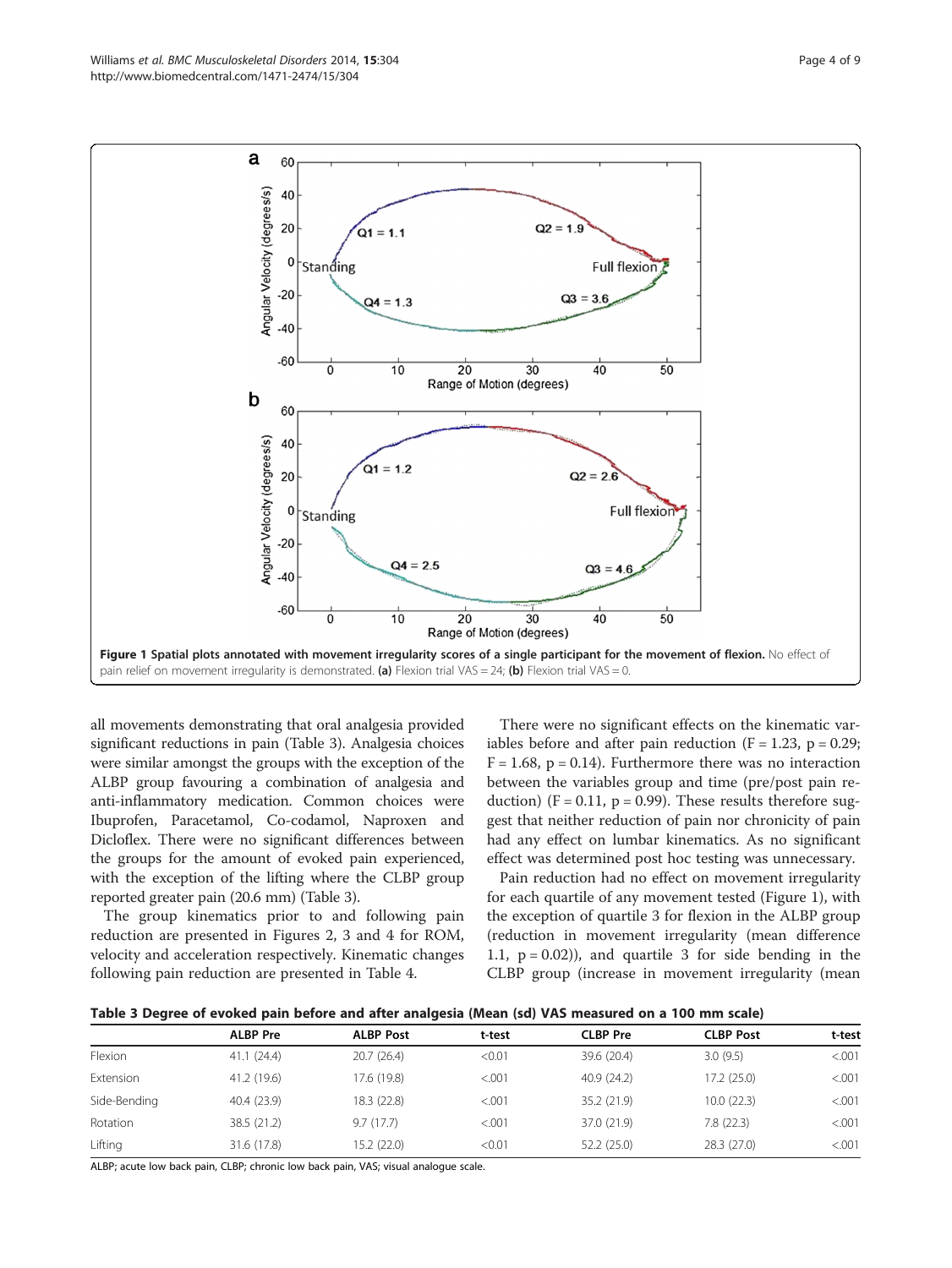<span id="page-3-0"></span>

 $Q2 = 2.6$ 

 $\Omega$ 3 =

**Full flexion** 



all movements demonstrating that oral analgesia provided significant reductions in pain (Table 3). Analgesia choices were similar amongst the groups with the exception of the ALBP group favouring a combination of analgesia and anti-inflammatory medication. Common choices were Ibuprofen, Paracetamol, Co-codamol, Naproxen and Dicloflex. There were no significant differences between the groups for the amount of evoked pain experienced, with the exception of the lifting where the CLBP group reported greater pain (20.6 mm) (Table 3).

40

20

0

 $-20$ 

**Standing** 

 $Q1 = 1.2$ 

 $Q4 = 2.5$ 

The group kinematics prior to and following pain reduction are presented in Figures [2, 3](#page-4-0) and [4](#page-5-0) for ROM, velocity and acceleration respectively. Kinematic changes following pain reduction are presented in Table [4.](#page-6-0)

There were no significant effects on the kinematic variables before and after pain reduction  $(F = 1.23, p = 0.29;$  $F = 1.68$ ,  $p = 0.14$ ). Furthermore there was no interaction between the variables group and time (pre/post pain reduction) ( $F = 0.11$ ,  $p = 0.99$ ). These results therefore suggest that neither reduction of pain nor chronicity of pain had any effect on lumbar kinematics. As no significant effect was determined post hoc testing was unnecessary.

Pain reduction had no effect on movement irregularity for each quartile of any movement tested (Figure 1), with the exception of quartile 3 for flexion in the ALBP group (reduction in movement irregularity (mean difference 1.1,  $p = 0.02$ ), and quartile 3 for side bending in the CLBP group (increase in movement irregularity (mean

| (Table 3 Degree of evoked pain before and after analgesia (Mean (sd) VAS measured on a 100 mm scale |  |  |  |  |
|-----------------------------------------------------------------------------------------------------|--|--|--|--|
|-----------------------------------------------------------------------------------------------------|--|--|--|--|

|              | <b>ALBP Pre</b> | <b>ALBP Post</b> | t-test  | <b>CLBP</b> Pre | <b>CLBP Post</b> | t-test  |
|--------------|-----------------|------------------|---------|-----------------|------------------|---------|
| Flexion      | 41.1(24.4)      | 20.7(26.4)       | < 0.01  | 39.6 (20.4)     | 3.0(9.5)         | < .001  |
| Extension    | 41.2 (19.6)     | 17.6 (19.8)      | < 0.001 | 40.9(24.2)      | 17.2 (25.0)      | < 0.001 |
| Side-Bending | 40.4 (23.9)     | 18.3 (22.8)      | < 0.001 | 35.2 (21.9)     | 10.0(22.3)       | < 0.001 |
| Rotation     | 38.5 (21.2)     | 9.7(17.7)        | < 0.001 | 37.0 (21.9)     | 7.8(22.3)        | < 0.001 |
| Lifting      | 31.6 (17.8)     | 15.2 (22.0)      | < 0.01  | 52.2 (25.0)     | 28.3(27.0)       | < .001  |

ALBP; acute low back pain, CLBP; chronic low back pain, VAS; visual analogue scale.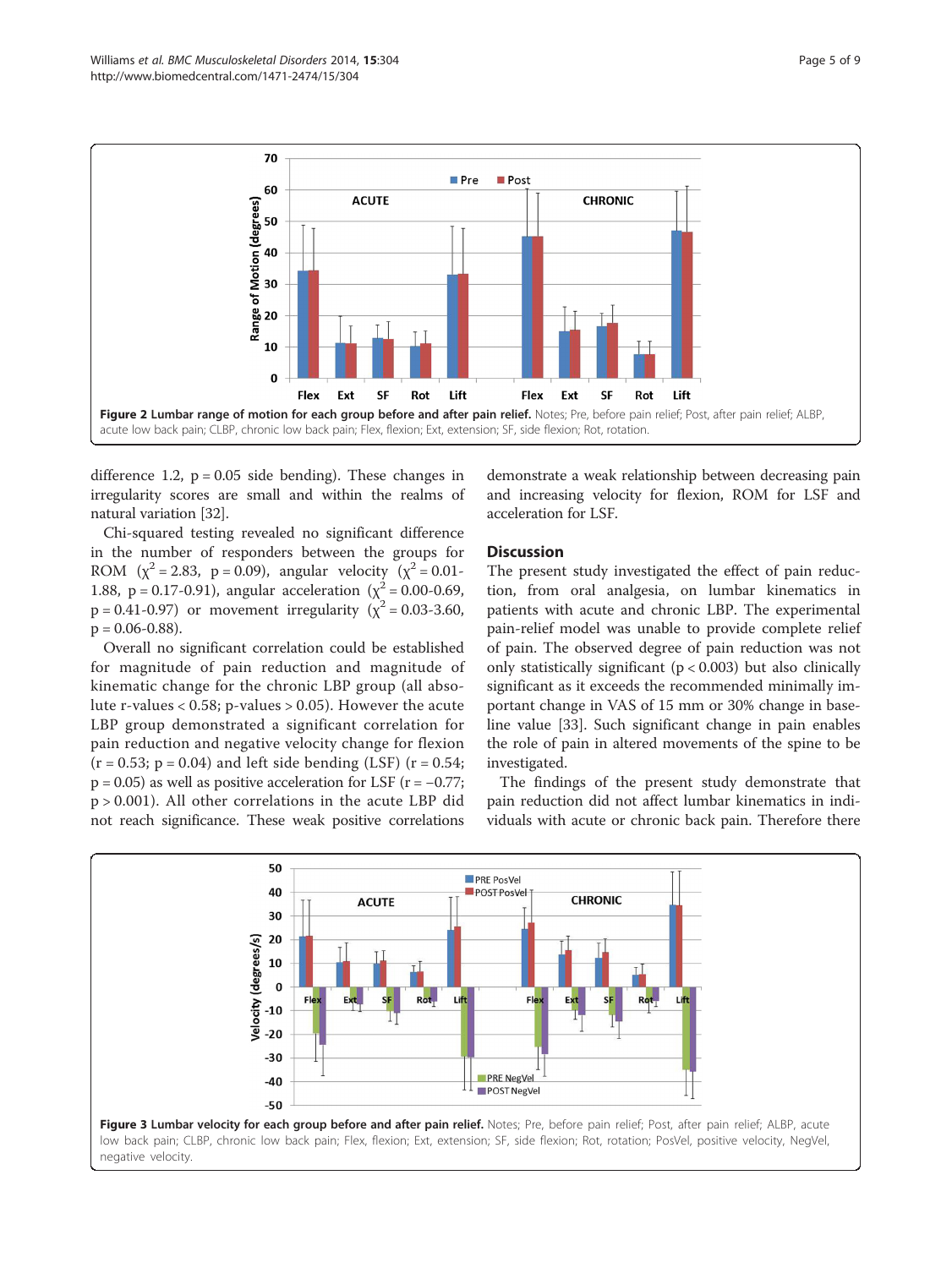<span id="page-4-0"></span>

difference 1.2,  $p = 0.05$  side bending). These changes in irregularity scores are small and within the realms of natural variation [\[32\]](#page-8-0).

Chi-squared testing revealed no significant difference in the number of responders between the groups for ROM ( $\chi^2$  = 2.83, p = 0.09), angular velocity ( $\chi^2$  = 0.01-1.88, p = 0.17-0.91), angular acceleration ( $\chi^2$  = 0.00-0.69,  $p = 0.41 - 0.97$ ) or movement irregularity ( $\chi^2 = 0.03 - 3.60$ ,  $p = 0.06 - 0.88$ ).

Overall no significant correlation could be established for magnitude of pain reduction and magnitude of kinematic change for the chronic LBP group (all absolute r-values < 0.58; p-values > 0.05). However the acute LBP group demonstrated a significant correlation for pain reduction and negative velocity change for flexion  $(r = 0.53; p = 0.04)$  and left side bending (LSF)  $(r = 0.54;$  $p = 0.05$ ) as well as positive acceleration for LSF ( $r = -0.77$ ; p > 0.001). All other correlations in the acute LBP did not reach significance. These weak positive correlations

demonstrate a weak relationship between decreasing pain and increasing velocity for flexion, ROM for LSF and acceleration for LSF.

# **Discussion**

The present study investigated the effect of pain reduction, from oral analgesia, on lumbar kinematics in patients with acute and chronic LBP. The experimental pain-relief model was unable to provide complete relief of pain. The observed degree of pain reduction was not only statistically significant  $(p < 0.003)$  but also clinically significant as it exceeds the recommended minimally important change in VAS of 15 mm or 30% change in baseline value [\[33](#page-8-0)]. Such significant change in pain enables the role of pain in altered movements of the spine to be investigated.

The findings of the present study demonstrate that pain reduction did not affect lumbar kinematics in individuals with acute or chronic back pain. Therefore there

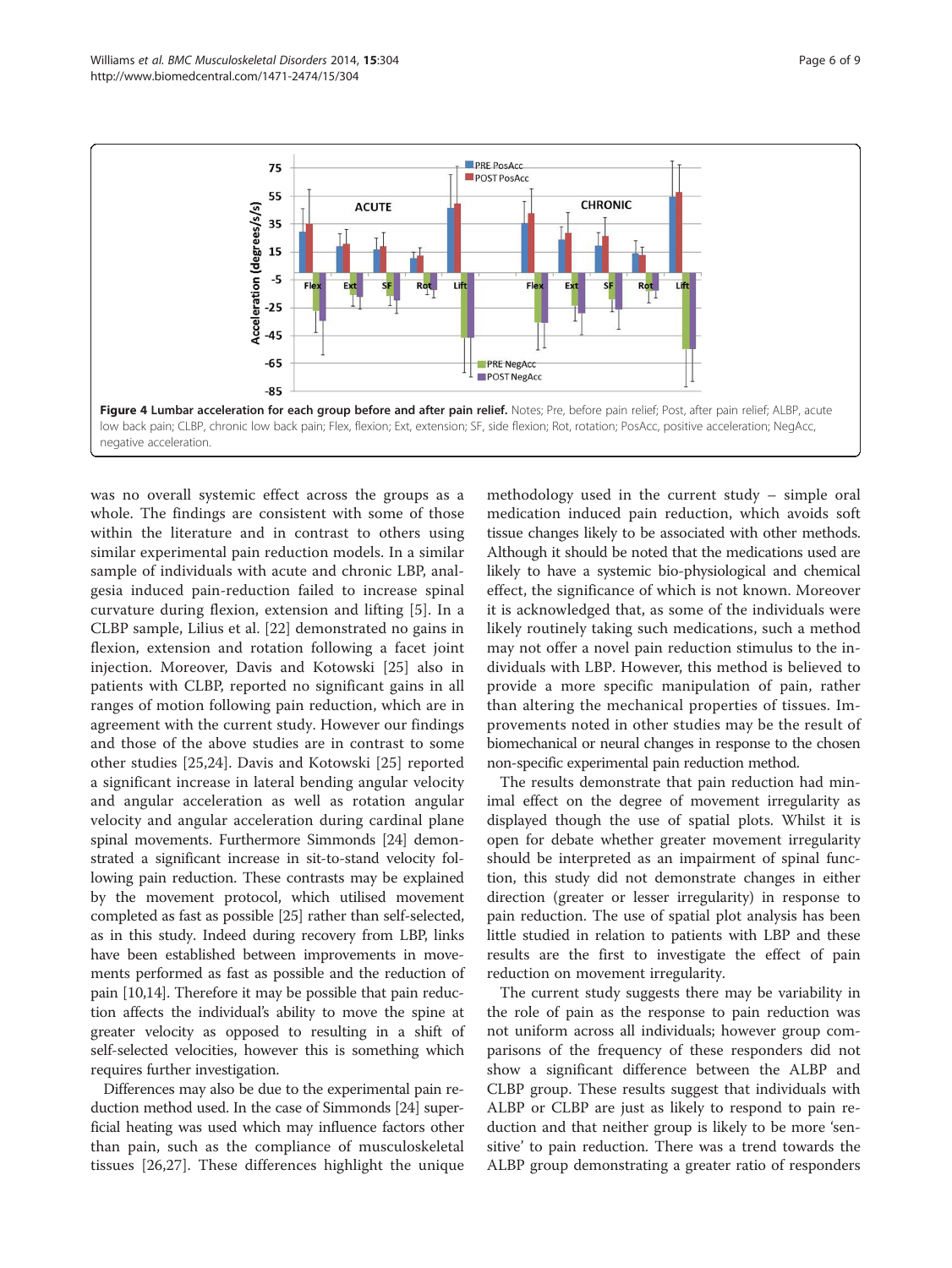<span id="page-5-0"></span>

was no overall systemic effect across the groups as a whole. The findings are consistent with some of those within the literature and in contrast to others using similar experimental pain reduction models. In a similar sample of individuals with acute and chronic LBP, analgesia induced pain-reduction failed to increase spinal curvature during flexion, extension and lifting [\[5](#page-7-0)]. In a CLBP sample, Lilius et al. [[22\]](#page-8-0) demonstrated no gains in flexion, extension and rotation following a facet joint injection. Moreover, Davis and Kotowski [[25\]](#page-8-0) also in patients with CLBP, reported no significant gains in all ranges of motion following pain reduction, which are in agreement with the current study. However our findings and those of the above studies are in contrast to some other studies [[25,24\]](#page-8-0). Davis and Kotowski [[25](#page-8-0)] reported a significant increase in lateral bending angular velocity and angular acceleration as well as rotation angular velocity and angular acceleration during cardinal plane spinal movements. Furthermore Simmonds [\[24\]](#page-8-0) demonstrated a significant increase in sit-to-stand velocity following pain reduction. These contrasts may be explained by the movement protocol, which utilised movement completed as fast as possible [\[25\]](#page-8-0) rather than self-selected, as in this study. Indeed during recovery from LBP, links have been established between improvements in movements performed as fast as possible and the reduction of pain [[10](#page-7-0),[14](#page-7-0)]. Therefore it may be possible that pain reduction affects the individual's ability to move the spine at greater velocity as opposed to resulting in a shift of self-selected velocities, however this is something which requires further investigation.

Differences may also be due to the experimental pain reduction method used. In the case of Simmonds [\[24\]](#page-8-0) superficial heating was used which may influence factors other than pain, such as the compliance of musculoskeletal tissues [[26,27](#page-8-0)]. These differences highlight the unique

methodology used in the current study – simple oral medication induced pain reduction, which avoids soft tissue changes likely to be associated with other methods. Although it should be noted that the medications used are likely to have a systemic bio-physiological and chemical effect, the significance of which is not known. Moreover it is acknowledged that, as some of the individuals were likely routinely taking such medications, such a method may not offer a novel pain reduction stimulus to the individuals with LBP. However, this method is believed to provide a more specific manipulation of pain, rather than altering the mechanical properties of tissues. Improvements noted in other studies may be the result of biomechanical or neural changes in response to the chosen non-specific experimental pain reduction method.

The results demonstrate that pain reduction had minimal effect on the degree of movement irregularity as displayed though the use of spatial plots. Whilst it is open for debate whether greater movement irregularity should be interpreted as an impairment of spinal function, this study did not demonstrate changes in either direction (greater or lesser irregularity) in response to pain reduction. The use of spatial plot analysis has been little studied in relation to patients with LBP and these results are the first to investigate the effect of pain reduction on movement irregularity.

The current study suggests there may be variability in the role of pain as the response to pain reduction was not uniform across all individuals; however group comparisons of the frequency of these responders did not show a significant difference between the ALBP and CLBP group. These results suggest that individuals with ALBP or CLBP are just as likely to respond to pain reduction and that neither group is likely to be more 'sensitive' to pain reduction. There was a trend towards the ALBP group demonstrating a greater ratio of responders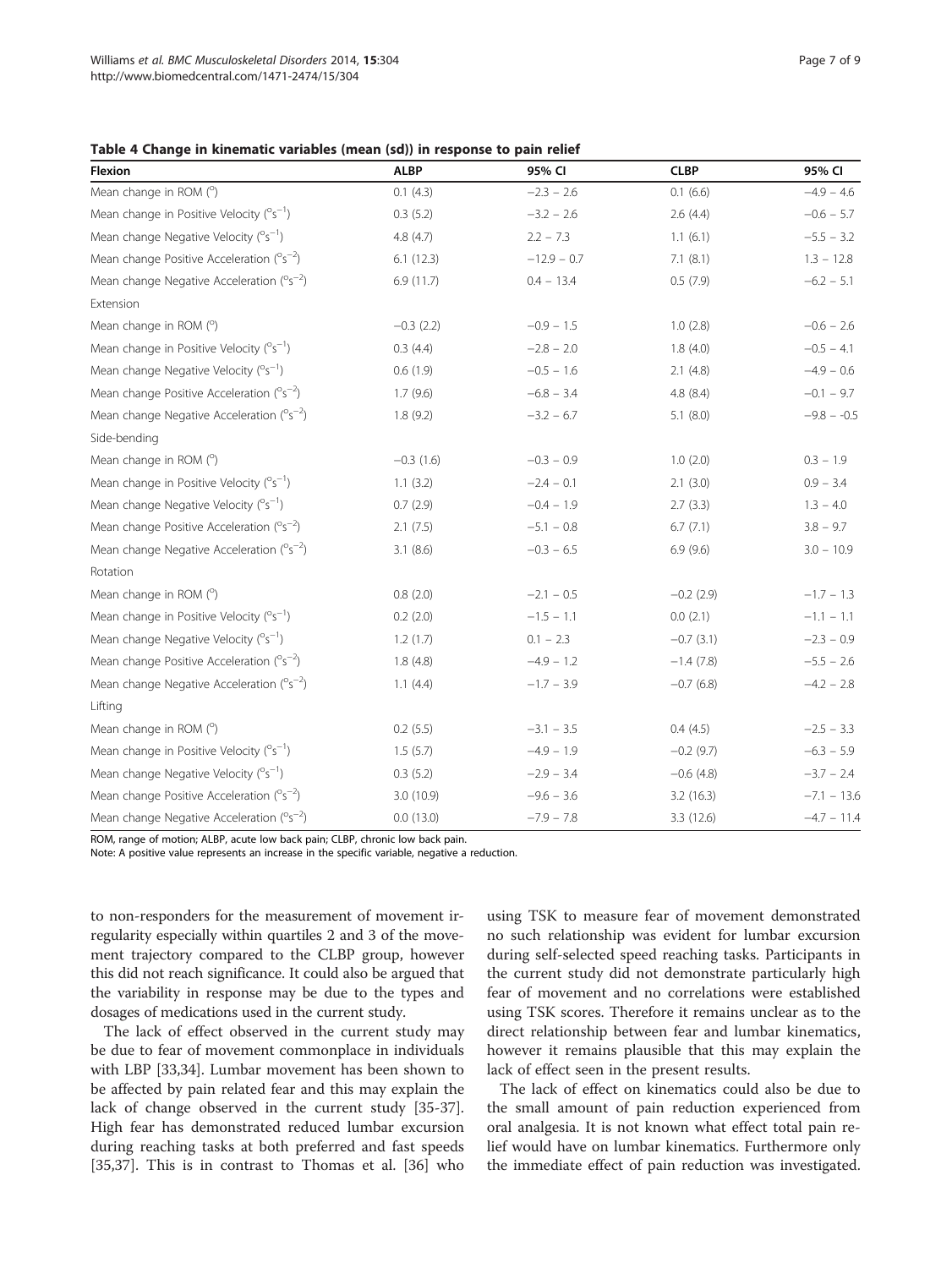### <span id="page-6-0"></span>Table 4 Change in kinematic variables (mean (sd)) in response to pain relief

| <b>Flexion</b>                                        | <b>ALBP</b>   | 95% CI        | <b>CLBP</b>  | 95% CI        |
|-------------------------------------------------------|---------------|---------------|--------------|---------------|
| Mean change in ROM (°)                                | 0.1(4.3)      | $-2.3 - 2.6$  | 0.1(6.6)     | $-4.9 - 4.6$  |
| Mean change in Positive Velocity $(^{\circ}S^{-1})$   | 0.3(5.2)      | $-3.2 - 2.6$  | 2.6(4.4)     | $-0.6 - 5.7$  |
| Mean change Negative Velocity $(^{\circ}S^{-1})$      | 4.8(4.7)      | $2.2 - 7.3$   | 1.1(6.1)     | $-5.5 - 3.2$  |
| Mean change Positive Acceleration ( $°s^{-2}$ )       | 6.1(12.3)     | $-12.9 - 0.7$ | 7.1(8.1)     | $1.3 - 12.8$  |
| Mean change Negative Acceleration ( $°s^{-2}$ )       | 6.9 (11.7)    | $0.4 - 13.4$  | 0.5(7.9)     | $-6.2 - 5.1$  |
| Extension                                             |               |               |              |               |
| Mean change in ROM (°)                                | $-0.3$ (2.2)  | $-0.9 - 1.5$  | 1.0(2.8)     | $-0.6 - 2.6$  |
| Mean change in Positive Velocity $(^{\circ}S^{-1})$   | 0.3(4.4)      | $-2.8 - 2.0$  | 1.8(4.0)     | $-0.5 - 4.1$  |
| Mean change Negative Velocity $(^{\circ}S^{-1})$      | 0.6(1.9)      | $-0.5 - 1.6$  | 2.1(4.8)     | $-4.9 - 0.6$  |
| Mean change Positive Acceleration $(^{\circ}S^{-2})$  | 1.7(9.6)      | $-6.8 - 3.4$  | 4.8(8.4)     | $-0.1 - 9.7$  |
| Mean change Negative Acceleration ( $°s^{-2}$ )       | 1.8(9.2)      | $-3.2 - 6.7$  | 5.1(8.0)     | $-9.8 - -0.5$ |
| Side-bending                                          |               |               |              |               |
| Mean change in ROM (°)                                | $-0.3(1.6)$   | $-0.3 - 0.9$  | 1.0(2.0)     | $0.3 - 1.9$   |
| Mean change in Positive Velocity (°s <sup>-1</sup> )  | 1.1(3.2)      | $-2.4 - 0.1$  | 2.1(3.0)     | $0.9 - 3.4$   |
| Mean change Negative Velocity $(^{\circ}S^{-1})$      | 0.7(2.9)      | $-0.4 - 1.9$  | 2.7(3.3)     | $1.3 - 4.0$   |
| Mean change Positive Acceleration (°s <sup>-2</sup> ) | 2.1(7.5)      | $-5.1 - 0.8$  | 6.7(7.1)     | $3.8 - 9.7$   |
| Mean change Negative Acceleration ( $°s^{-2}$ )       | 3.1(8.6)      | $-0.3 - 6.5$  | 6.9(9.6)     | $3.0 - 10.9$  |
| Rotation                                              |               |               |              |               |
| Mean change in ROM (°)                                | 0.8(2.0)      | $-2.1 - 0.5$  | $-0.2$ (2.9) | $-1.7 - 1.3$  |
| Mean change in Positive Velocity $(^{\circ}S^{-1})$   | $0.2$ $(2.0)$ | $-1.5 - 1.1$  | 0.0(2.1)     | $-1.1 - 1.1$  |
| Mean change Negative Velocity $(^{\circ}S^{-1})$      | 1.2(1.7)      | $0.1 - 2.3$   | $-0.7(3.1)$  | $-2.3 - 0.9$  |
| Mean change Positive Acceleration ( $°s^{-2}$ )       | 1.8(4.8)      | $-4.9 - 1.2$  | $-1.4(7.8)$  | $-5.5 - 2.6$  |
| Mean change Negative Acceleration (°s <sup>-2</sup> ) | 1.1(4.4)      | $-1.7 - 3.9$  | $-0.7(6.8)$  | $-4.2 - 2.8$  |
| Lifting                                               |               |               |              |               |
| Mean change in ROM (°)                                | 0.2(5.5)      | $-3.1 - 3.5$  | 0.4(4.5)     | $-2.5 - 3.3$  |
| Mean change in Positive Velocity $(^{\circ}S^{-1})$   | 1.5(5.7)      | $-4.9 - 1.9$  | $-0.2$ (9.7) | $-6.3 - 5.9$  |
| Mean change Negative Velocity $(^{\circ}S^{-1})$      | 0.3(5.2)      | $-2.9 - 3.4$  | $-0.6$ (4.8) | $-3.7 - 2.4$  |
| Mean change Positive Acceleration $(^{\circ}s^{-2})$  | 3.0(10.9)     | $-9.6 - 3.6$  | 3.2(16.3)    | $-7.1 - 13.6$ |
| Mean change Negative Acceleration ( $°s^{-2}$ )       | 0.0(13.0)     | $-7.9 - 7.8$  | 3.3(12.6)    | $-4.7 - 11.4$ |

ROM, range of motion; ALBP, acute low back pain; CLBP, chronic low back pain.

Note: A positive value represents an increase in the specific variable, negative a reduction.

to non-responders for the measurement of movement irregularity especially within quartiles 2 and 3 of the movement trajectory compared to the CLBP group, however this did not reach significance. It could also be argued that the variability in response may be due to the types and dosages of medications used in the current study.

The lack of effect observed in the current study may be due to fear of movement commonplace in individuals with LBP [\[33,34\]](#page-8-0). Lumbar movement has been shown to be affected by pain related fear and this may explain the lack of change observed in the current study [\[35-37](#page-8-0)]. High fear has demonstrated reduced lumbar excursion during reaching tasks at both preferred and fast speeds [[35,37\]](#page-8-0). This is in contrast to Thomas et al. [[36](#page-8-0)] who

using TSK to measure fear of movement demonstrated no such relationship was evident for lumbar excursion during self-selected speed reaching tasks. Participants in the current study did not demonstrate particularly high fear of movement and no correlations were established using TSK scores. Therefore it remains unclear as to the direct relationship between fear and lumbar kinematics, however it remains plausible that this may explain the lack of effect seen in the present results.

The lack of effect on kinematics could also be due to the small amount of pain reduction experienced from oral analgesia. It is not known what effect total pain relief would have on lumbar kinematics. Furthermore only the immediate effect of pain reduction was investigated.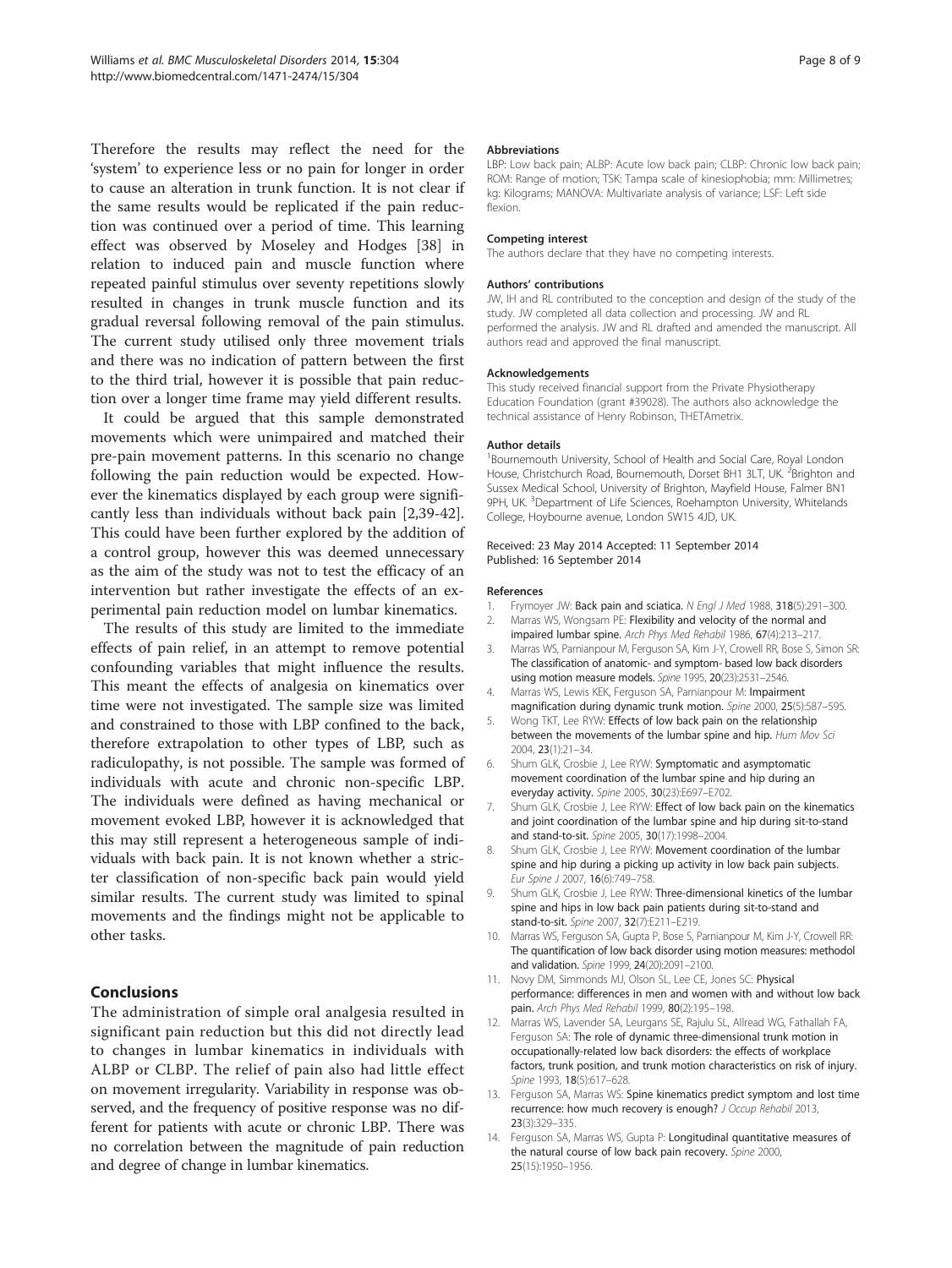<span id="page-7-0"></span>Therefore the results may reflect the need for the 'system' to experience less or no pain for longer in order to cause an alteration in trunk function. It is not clear if the same results would be replicated if the pain reduction was continued over a period of time. This learning effect was observed by Moseley and Hodges [[38\]](#page-8-0) in relation to induced pain and muscle function where repeated painful stimulus over seventy repetitions slowly resulted in changes in trunk muscle function and its gradual reversal following removal of the pain stimulus. The current study utilised only three movement trials and there was no indication of pattern between the first to the third trial, however it is possible that pain reduction over a longer time frame may yield different results.

It could be argued that this sample demonstrated movements which were unimpaired and matched their pre-pain movement patterns. In this scenario no change following the pain reduction would be expected. However the kinematics displayed by each group were significantly less than individuals without back pain [2,[39-42](#page-8-0)]. This could have been further explored by the addition of a control group, however this was deemed unnecessary as the aim of the study was not to test the efficacy of an intervention but rather investigate the effects of an experimental pain reduction model on lumbar kinematics.

The results of this study are limited to the immediate effects of pain relief, in an attempt to remove potential confounding variables that might influence the results. This meant the effects of analgesia on kinematics over time were not investigated. The sample size was limited and constrained to those with LBP confined to the back, therefore extrapolation to other types of LBP, such as radiculopathy, is not possible. The sample was formed of individuals with acute and chronic non-specific LBP. The individuals were defined as having mechanical or movement evoked LBP, however it is acknowledged that this may still represent a heterogeneous sample of individuals with back pain. It is not known whether a stricter classification of non-specific back pain would yield similar results. The current study was limited to spinal movements and the findings might not be applicable to other tasks.

# Conclusions

The administration of simple oral analgesia resulted in significant pain reduction but this did not directly lead to changes in lumbar kinematics in individuals with ALBP or CLBP. The relief of pain also had little effect on movement irregularity. Variability in response was observed, and the frequency of positive response was no different for patients with acute or chronic LBP. There was no correlation between the magnitude of pain reduction and degree of change in lumbar kinematics.

#### Abbreviations

LBP: Low back pain; ALBP: Acute low back pain; CLBP: Chronic low back pain; ROM: Range of motion; TSK: Tampa scale of kinesiophobia; mm: Millimetres; kg: Kilograms; MANOVA: Multivariate analysis of variance; LSF: Left side flexion.

#### Competing interest

The authors declare that they have no competing interests.

#### Authors' contributions

JW, IH and RL contributed to the conception and design of the study of the study. JW completed all data collection and processing. JW and RL performed the analysis. JW and RL drafted and amended the manuscript. All authors read and approved the final manuscript.

#### Acknowledgements

This study received financial support from the Private Physiotherapy Education Foundation (grant #39028). The authors also acknowledge the technical assistance of Henry Robinson, THETAmetrix.

#### Author details

<sup>1</sup> Bournemouth University, School of Health and Social Care, Royal London House, Christchurch Road, Bournemouth, Dorset BH1 3LT, UK. <sup>2</sup>Brighton and Sussex Medical School, University of Brighton, Mayfield House, Falmer BN1 9PH, UK. <sup>3</sup>Department of Life Sciences, Roehampton University, Whitelands College, Hoybourne avenue, London SW15 4JD, UK.

#### Received: 23 May 2014 Accepted: 11 September 2014 Published: 16 September 2014

#### References

- Frymoyer JW: Back pain and sciatica. N Engl J Med 1988, 318(5):291-300.
- 2. Marras WS, Wongsam PE: Flexibility and velocity of the normal and impaired lumbar spine. Arch Phys Med Rehabil 1986, 67(4):213–217.
- 3. Marras WS, Parnianpour M, Ferguson SA, Kim J-Y, Crowell RR, Bose S, Simon SR: The classification of anatomic- and symptom- based low back disorders using motion measure models. Spine 1995, 20(23):2531–2546.
- 4. Marras WS, Lewis KEK, Ferguson SA, Parnianpour M: Impairment magnification during dynamic trunk motion. Spine 2000, 25(5):587–595.
- 5. Wong TKT, Lee RYW: Effects of low back pain on the relationship between the movements of the lumbar spine and hip. Hum Mov Sci 2004, 23(1):21–34.
- 6. Shum GLK, Crosbie J, Lee RYW: Symptomatic and asymptomatic movement coordination of the lumbar spine and hip during an everyday activity. Spine 2005, 30(23):E697–E702.
- 7. Shum GLK, Crosbie J, Lee RYW: Effect of low back pain on the kinematics and joint coordination of the lumbar spine and hip during sit-to-stand and stand-to-sit. Spine 2005, 30(17):1998–2004.
- 8. Shum GLK, Crosbie J, Lee RYW: Movement coordination of the lumbar spine and hip during a picking up activity in low back pain subjects. Eur Spine J 2007, 16(6):749–758.
- 9. Shum GLK, Crosbie J, Lee RYW: Three-dimensional kinetics of the lumbar spine and hips in low back pain patients during sit-to-stand and stand-to-sit. Spine 2007, 32(7):E211–E219.
- 10. Marras WS, Ferguson SA, Gupta P, Bose S, Parnianpour M, Kim J-Y, Crowell RR: The quantification of low back disorder using motion measures: methodol and validation. Spine 1999, 24(20):2091–2100.
- 11. Novy DM, Simmonds MJ, Olson SL, Lee CE, Jones SC: Physical performance: differences in men and women with and without low back pain. Arch Phys Med Rehabil 1999, 80(2):195–198.
- 12. Marras WS, Lavender SA, Leurgans SE, Rajulu SL, Allread WG, Fathallah FA, Ferguson SA: The role of dynamic three-dimensional trunk motion in occupationally-related low back disorders: the effects of workplace factors, trunk position, and trunk motion characteristics on risk of injury. Spine 1993, 18(5):617-628.
- 13. Ferguson SA, Marras WS: Spine kinematics predict symptom and lost time recurrence: how much recovery is enough? J Occup Rehabil 2013, 23(3):329–335.
- 14. Ferguson SA, Marras WS, Gupta P: Longitudinal quantitative measures of the natural course of low back pain recovery. Spine 2000, 25(15):1950–1956.